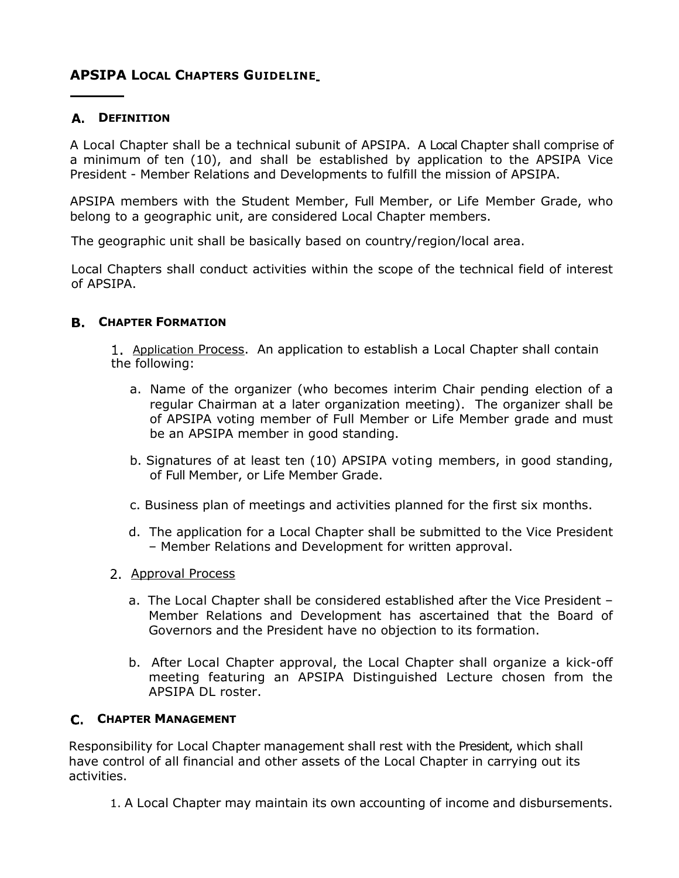# **APSIPA LOCAL CHAPTERS GUIDELINE**

## **DEFINITION**

A Local Chapter shall be a technical subunit of APSIPA. A Local Chapter shall comprise of a minimum of ten (10), and shall be established by application to the APSIPA Vice President - Member Relations and Developments to fulfill the mission of APSIPA.

APSIPA members with the Student Member, Full Member, or Life Member Grade, who belong to a geographic unit, are considered Local Chapter members.

The geographic unit shall be basically based on country/region/local area.

Local Chapters shall conduct activities within the scope of the technical field of interest of APSIPA.

### **CHAPTER FORMATION**

1. Application Process. An application to establish a Local Chapter shall contain the following:

- a. Name of the organizer (who becomes interim Chair pending election of a regular Chairman at a later organization meeting). The organizer shall be of APSIPA voting member of Full Member or Life Member grade and must be an APSIPA member in good standing.
- b. Signatures of at least ten (10) APSIPA voting members, in good standing, of Full Member, or Life Member Grade.
- c. Business plan of meetings and activities planned for the first six months.
- d. The application for a Local Chapter shall be submitted to the Vice President – Member Relations and Development for written approval.
- 2. Approval Process
	- a. The Local Chapter shall be considered established after the Vice President Member Relations and Development has ascertained that the Board of Governors and the President have no objection to its formation.
	- b. After Local Chapter approval, the Local Chapter shall organize a kick-off meeting featuring an APSIPA Distinguished Lecture chosen from the APSIPA DL roster.

### **C.** CHAPTER MANAGEMENT

Responsibility for Local Chapter management shall rest with the President, which shall have control of all financial and other assets of the Local Chapter in carrying out its activities.

1. A Local Chapter may maintain its own accounting of income and disbursements.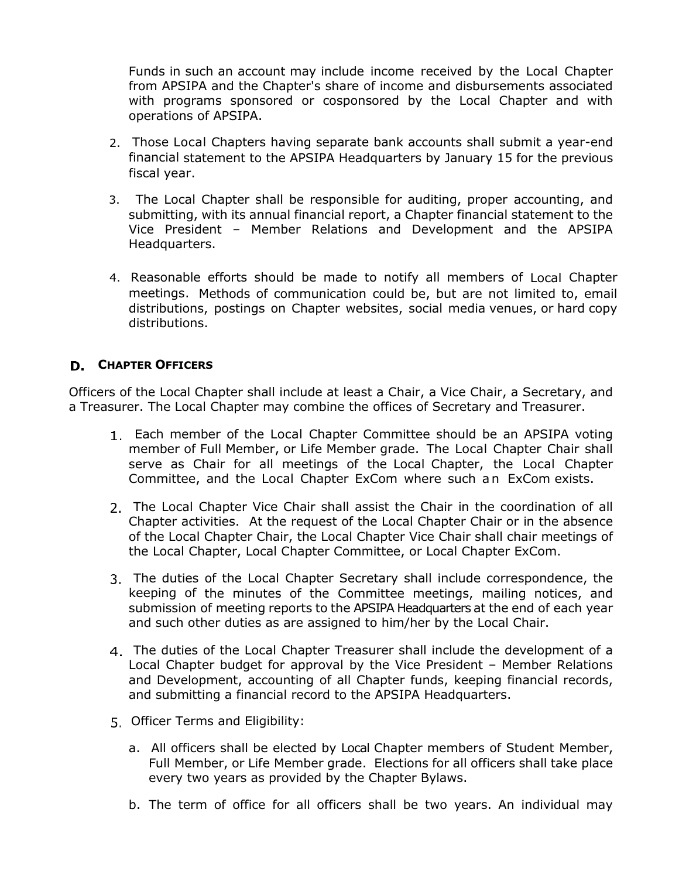Funds in such an account may include income received by the Local Chapter from APSIPA and the Chapter's share of income and disbursements associated with programs sponsored or cosponsored by the Local Chapter and with operations of APSIPA.

- 2. Those Local Chapters having separate bank accounts shall submit a year-end financial statement to the APSIPA Headquarters by January 15 for the previous fiscal year.
- 3. The Local Chapter shall be responsible for auditing, proper accounting, and submitting, with its annual financial report, a Chapter financial statement to the Vice President – Member Relations and Development and the APSIPA Headquarters.
- 4. Reasonable efforts should be made to notify all members of Local Chapter meetings. Methods of communication could be, but are not limited to, email distributions, postings on Chapter websites, social media venues, or hard copy distributions.

## **CHAPTER OFFICERS**

Officers of the Local Chapter shall include at least a Chair, a Vice Chair, a Secretary, and a Treasurer. The Local Chapter may combine the offices of Secretary and Treasurer.

- Each member of the Local Chapter Committee should be an APSIPA voting member of Full Member, or Life Member grade. The Local Chapter Chair shall serve as Chair for all meetings of the Local Chapter, the Local Chapter Committee, and the Local Chapter ExCom where such an ExCom exists.
- 2. The Local Chapter Vice Chair shall assist the Chair in the coordination of all Chapter activities. At the request of the Local Chapter Chair or in the absence of the Local Chapter Chair, the Local Chapter Vice Chair shall chair meetings of the Local Chapter, Local Chapter Committee, or Local Chapter ExCom.
- The duties of the Local Chapter Secretary shall include correspondence, the keeping of the minutes of the Committee meetings, mailing notices, and submission of meeting reports to the APSIPA Headquarters at the end of each year and such other duties as are assigned to him/her by the Local Chair.
- The duties of the Local Chapter Treasurer shall include the development of a Local Chapter budget for approval by the Vice President – Member Relations and Development, accounting of all Chapter funds, keeping financial records, and submitting a financial record to the APSIPA Headquarters.
- 5. Officer Terms and Eligibility:
	- a. All officers shall be elected by Local Chapter members of Student Member, Full Member, or Life Member grade. Elections for all officers shall take place every two years as provided by the Chapter Bylaws.
	- b. The term of office for all officers shall be two years. An individual may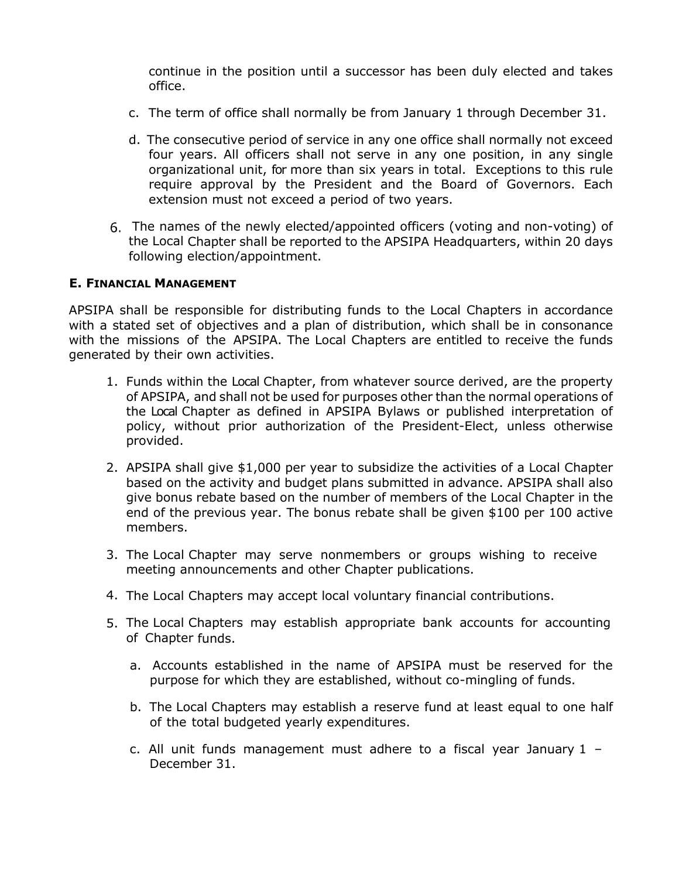continue in the position until a successor has been duly elected and takes office.

- c. The term of office shall normally be from January 1 through December 31.
- d. The consecutive period of service in any one office shall normally not exceed four years. All officers shall not serve in any one position, in any single organizational unit, for more than six years in total. Exceptions to this rule require approval by the President and the Board of Governors. Each extension must not exceed a period of two years.
- The names of the newly elected/appointed officers (voting and non-voting) of the Local Chapter shall be reported to the APSIPA Headquarters, within 20 days following election/appointment.

#### **E. FINANCIAL MANAGEMENT**

APSIPA shall be responsible for distributing funds to the Local Chapters in accordance with a stated set of objectives and a plan of distribution, which shall be in consonance with the missions of the APSIPA. The Local Chapters are entitled to receive the funds generated by their own activities.

- 1. Funds within the Local Chapter, from whatever source derived, are the property of APSIPA, and shall not be used for purposes other than the normal operations of the Local Chapter as defined in APSIPA Bylaws or published interpretation of policy, without prior authorization of the President-Elect, unless otherwise provided.
- 2. APSIPA shall give \$1,000 per year to subsidize the activities of a Local Chapter based on the activity and budget plans submitted in advance. APSIPA shall also give bonus rebate based on the number of members of the Local Chapter in the end of the previous year. The bonus rebate shall be given \$100 per 100 active members.
- 3. The Local Chapter may serve nonmembers or groups wishing to receive meeting announcements and other Chapter publications.
- 4. The Local Chapters may accept local voluntary financial contributions.
- 5. The Local Chapters may establish appropriate bank accounts for accounting of Chapter funds.
	- a. Accounts established in the name of APSIPA must be reserved for the purpose for which they are established, without co-mingling of funds.
	- b. The Local Chapters may establish a reserve fund at least equal to one half of the total budgeted yearly expenditures.
	- c. All unit funds management must adhere to a fiscal year January 1 December 31.